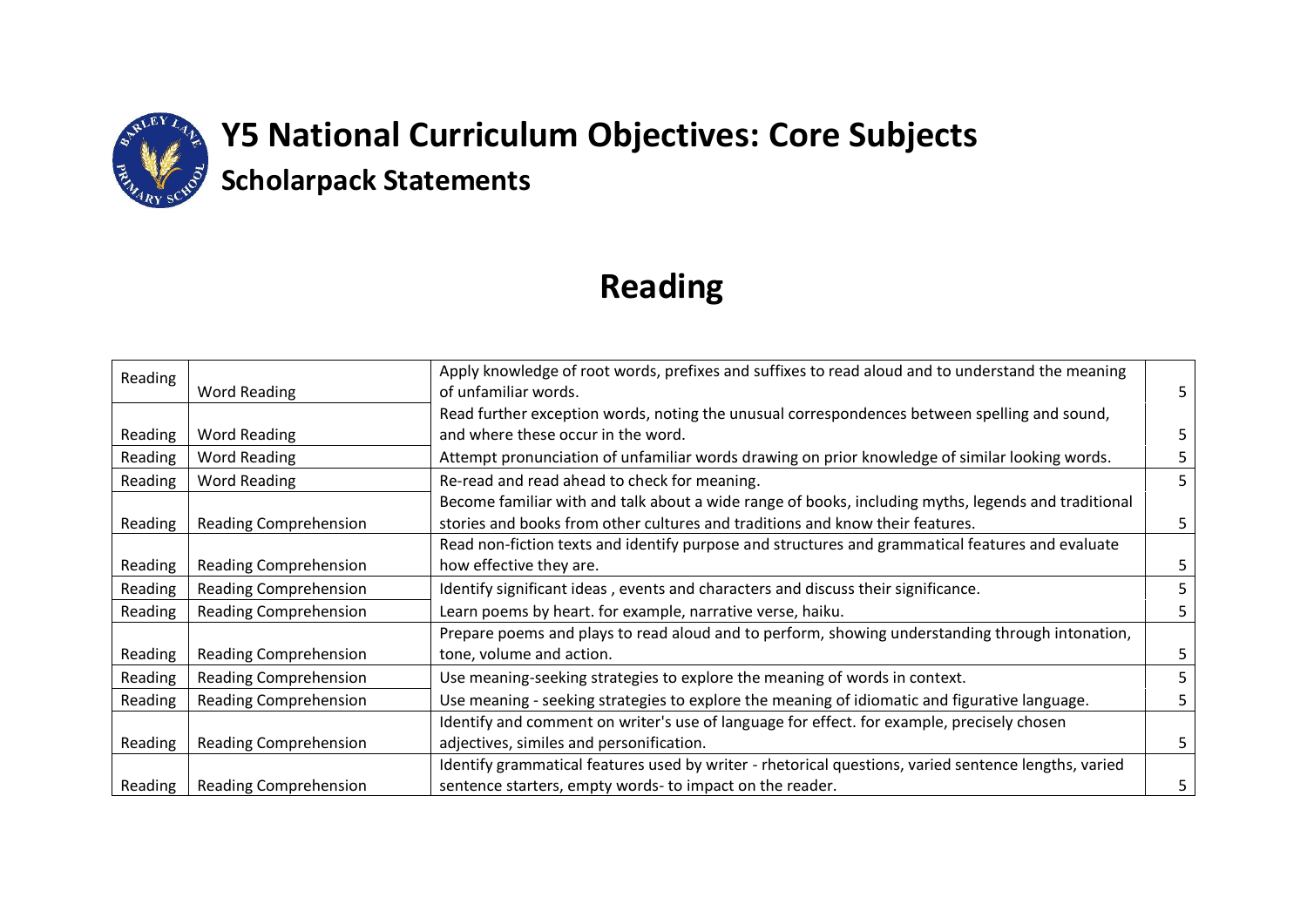

## **Reading**

| Reading |                              | Apply knowledge of root words, prefixes and suffixes to read aloud and to understand the meaning     |    |
|---------|------------------------------|------------------------------------------------------------------------------------------------------|----|
|         | Word Reading                 | of unfamiliar words.                                                                                 | 5. |
|         |                              | Read further exception words, noting the unusual correspondences between spelling and sound,         |    |
| Reading | Word Reading                 | and where these occur in the word.                                                                   | 5. |
| Reading | <b>Word Reading</b>          | Attempt pronunciation of unfamiliar words drawing on prior knowledge of similar looking words.       | 5  |
| Reading | <b>Word Reading</b>          | Re-read and read ahead to check for meaning.                                                         | 5  |
|         |                              | Become familiar with and talk about a wide range of books, including myths, legends and traditional  |    |
| Reading | <b>Reading Comprehension</b> | stories and books from other cultures and traditions and know their features.                        | 5. |
|         |                              | Read non-fiction texts and identify purpose and structures and grammatical features and evaluate     |    |
| Reading | <b>Reading Comprehension</b> | how effective they are.                                                                              | 5. |
| Reading | <b>Reading Comprehension</b> | Identify significant ideas, events and characters and discuss their significance.                    | 5  |
| Reading | <b>Reading Comprehension</b> | Learn poems by heart. for example, narrative verse, haiku.                                           | 5. |
|         |                              | Prepare poems and plays to read aloud and to perform, showing understanding through intonation,      |    |
| Reading | <b>Reading Comprehension</b> | tone, volume and action.                                                                             | 5. |
| Reading | <b>Reading Comprehension</b> | Use meaning-seeking strategies to explore the meaning of words in context.                           | 5  |
| Reading | <b>Reading Comprehension</b> | Use meaning - seeking strategies to explore the meaning of idiomatic and figurative language.        | 5. |
|         |                              | Identify and comment on writer's use of language for effect. for example, precisely chosen           |    |
| Reading | Reading Comprehension        | adjectives, similes and personification.                                                             | 5. |
|         |                              | Identify grammatical features used by writer - rhetorical questions, varied sentence lengths, varied |    |
| Reading | <b>Reading Comprehension</b> | sentence starters, empty words-to impact on the reader.                                              | 5  |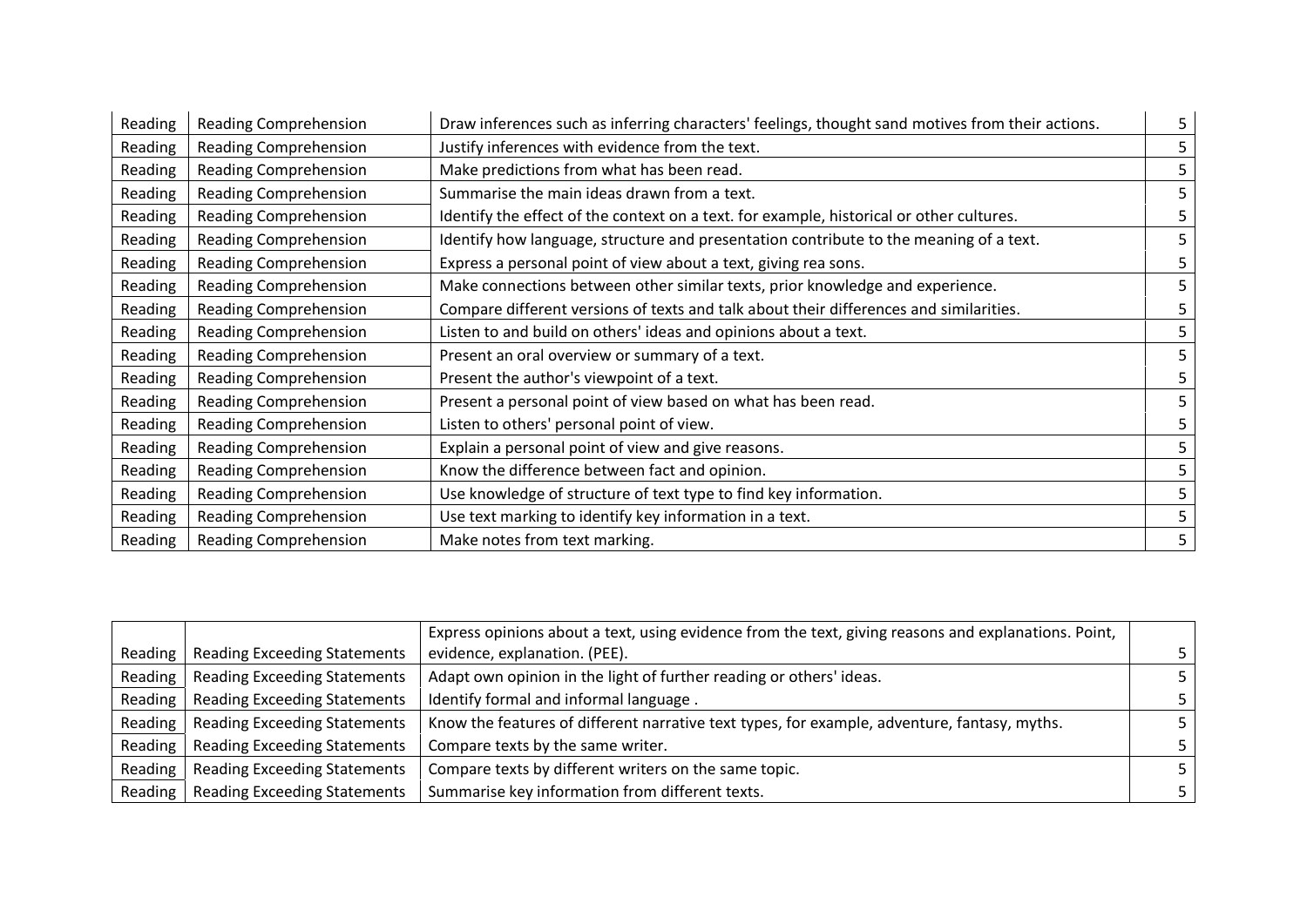| Reading | Reading Comprehension        | Draw inferences such as inferring characters' feelings, thought sand motives from their actions. | 5 |
|---------|------------------------------|--------------------------------------------------------------------------------------------------|---|
| Reading | <b>Reading Comprehension</b> | Justify inferences with evidence from the text.                                                  |   |
| Reading | <b>Reading Comprehension</b> | Make predictions from what has been read.                                                        | 5 |
| Reading | <b>Reading Comprehension</b> | Summarise the main ideas drawn from a text.                                                      | 5 |
| Reading | <b>Reading Comprehension</b> | Identify the effect of the context on a text. for example, historical or other cultures.         | 5 |
| Reading | Reading Comprehension        | Identify how language, structure and presentation contribute to the meaning of a text.           | 5 |
| Reading | <b>Reading Comprehension</b> | Express a personal point of view about a text, giving rea sons.                                  | 5 |
| Reading | Reading Comprehension        | Make connections between other similar texts, prior knowledge and experience.                    | 5 |
| Reading | <b>Reading Comprehension</b> | Compare different versions of texts and talk about their differences and similarities.           | 5 |
| Reading | <b>Reading Comprehension</b> | Listen to and build on others' ideas and opinions about a text.                                  | 5 |
| Reading | <b>Reading Comprehension</b> | Present an oral overview or summary of a text.                                                   | 5 |
| Reading | Reading Comprehension        | Present the author's viewpoint of a text.                                                        | 5 |
| Reading | <b>Reading Comprehension</b> | Present a personal point of view based on what has been read.                                    | 5 |
| Reading | <b>Reading Comprehension</b> | Listen to others' personal point of view.                                                        | 5 |
| Reading | Reading Comprehension        | Explain a personal point of view and give reasons.                                               | 5 |
| Reading | <b>Reading Comprehension</b> | Know the difference between fact and opinion.                                                    | 5 |
| Reading | <b>Reading Comprehension</b> | Use knowledge of structure of text type to find key information.                                 | 5 |
| Reading | <b>Reading Comprehension</b> | Use text marking to identify key information in a text.                                          | 5 |
| Reading | <b>Reading Comprehension</b> | Make notes from text marking.                                                                    | 5 |

|         |                                     | Express opinions about a text, using evidence from the text, giving reasons and explanations. Point, |    |
|---------|-------------------------------------|------------------------------------------------------------------------------------------------------|----|
| Reading | <b>Reading Exceeding Statements</b> | evidence, explanation. (PEE).                                                                        |    |
| Reading | <b>Reading Exceeding Statements</b> | Adapt own opinion in the light of further reading or others' ideas.                                  |    |
| Reading | <b>Reading Exceeding Statements</b> | Identify formal and informal language.                                                               |    |
| Reading | <b>Reading Exceeding Statements</b> | Know the features of different narrative text types, for example, adventure, fantasy, myths.         |    |
| Reading | <b>Reading Exceeding Statements</b> | Compare texts by the same writer.                                                                    |    |
| Reading | <b>Reading Exceeding Statements</b> | Compare texts by different writers on the same topic.                                                |    |
| Reading | <b>Reading Exceeding Statements</b> | Summarise key information from different texts.                                                      | 5. |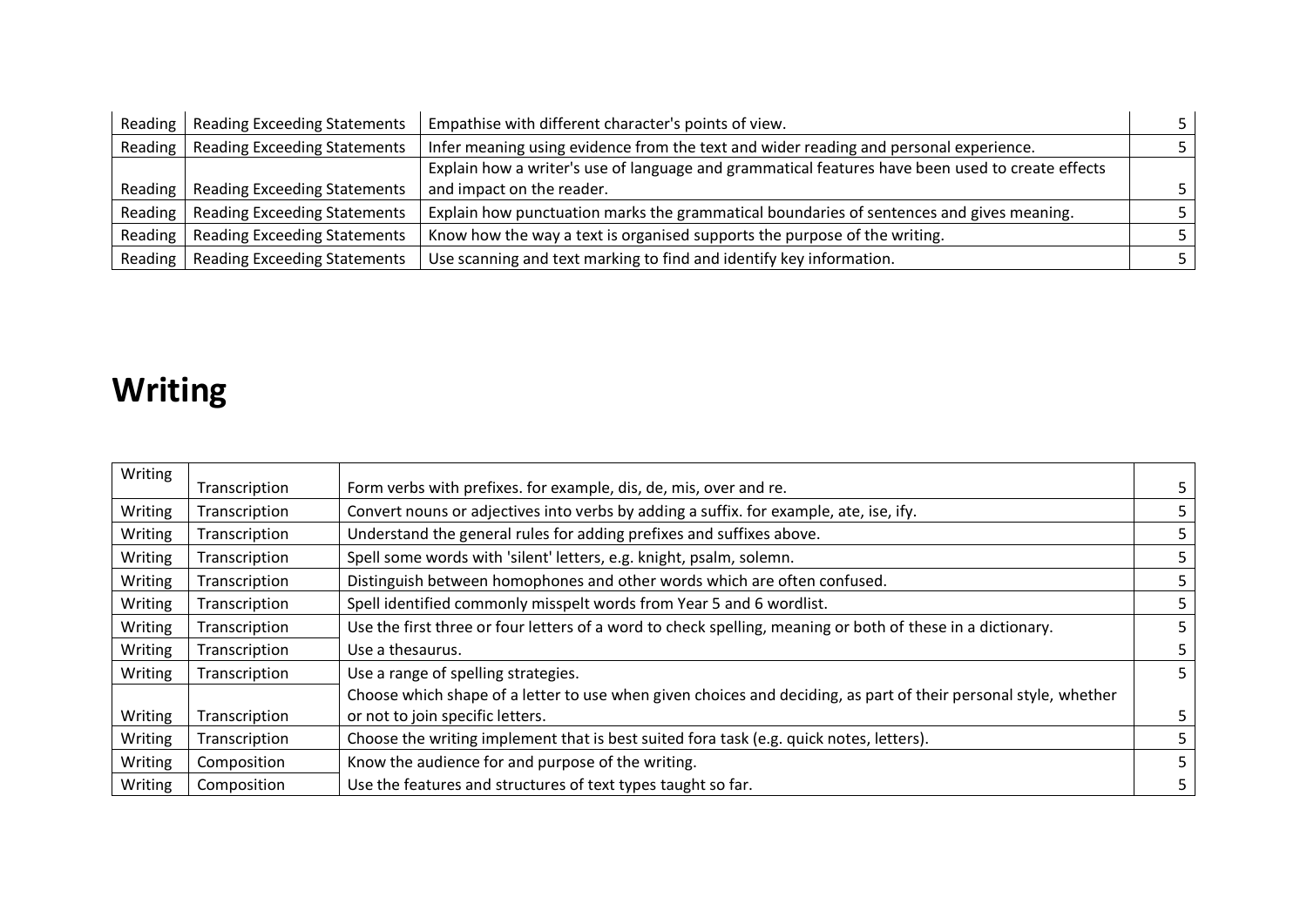| Reading | <b>Reading Exceeding Statements</b> | Empathise with different character's points of view.                                             |  |
|---------|-------------------------------------|--------------------------------------------------------------------------------------------------|--|
| Reading | <b>Reading Exceeding Statements</b> | Infer meaning using evidence from the text and wider reading and personal experience.            |  |
|         |                                     | Explain how a writer's use of language and grammatical features have been used to create effects |  |
| Reading | <b>Reading Exceeding Statements</b> | and impact on the reader.                                                                        |  |
| Reading | <b>Reading Exceeding Statements</b> | Explain how punctuation marks the grammatical boundaries of sentences and gives meaning.         |  |
| Reading | <b>Reading Exceeding Statements</b> | Know how the way a text is organised supports the purpose of the writing.                        |  |
| Reading | <b>Reading Exceeding Statements</b> | Use scanning and text marking to find and identify key information.                              |  |

## **Writing**

| Writing | Transcription | Form verbs with prefixes. for example, dis, de, mis, over and re.                                               | 5. |
|---------|---------------|-----------------------------------------------------------------------------------------------------------------|----|
| Writing | Transcription | Convert nouns or adjectives into verbs by adding a suffix. for example, ate, ise, ify.                          | 5. |
| Writing | Transcription | Understand the general rules for adding prefixes and suffixes above.                                            | 5. |
| Writing | Transcription | Spell some words with 'silent' letters, e.g. knight, psalm, solemn.                                             | 5. |
| Writing | Transcription | Distinguish between homophones and other words which are often confused.                                        | 5. |
| Writing | Transcription | Spell identified commonly misspelt words from Year 5 and 6 wordlist.                                            | 5. |
| Writing | Transcription | Use the first three or four letters of a word to check spelling, meaning or both of these in a dictionary.      | 5. |
| Writing | Transcription | Use a thesaurus.                                                                                                |    |
| Writing | Transcription | Use a range of spelling strategies.                                                                             | 5. |
|         |               | Choose which shape of a letter to use when given choices and deciding, as part of their personal style, whether |    |
| Writing | Transcription | or not to join specific letters.                                                                                | 5. |
| Writing | Transcription | Choose the writing implement that is best suited fora task (e.g. quick notes, letters).                         | 5. |
| Writing | Composition   | Know the audience for and purpose of the writing.                                                               | 5. |
| Writing | Composition   | Use the features and structures of text types taught so far.                                                    | 5. |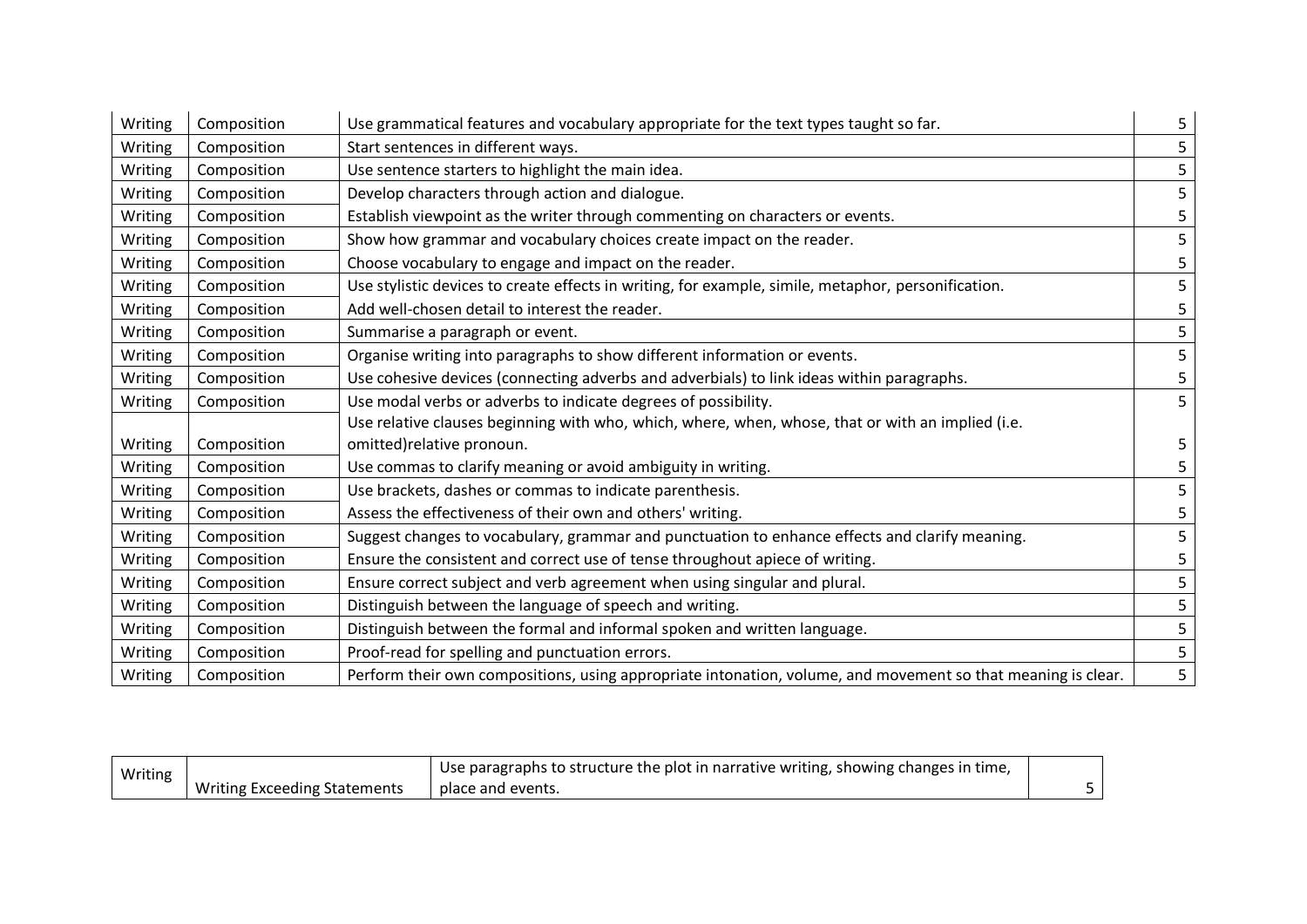| Writing | Composition | Use grammatical features and vocabulary appropriate for the text types taught so far.                        | 5                       |
|---------|-------------|--------------------------------------------------------------------------------------------------------------|-------------------------|
| Writing | Composition | Start sentences in different ways.                                                                           | 5                       |
| Writing | Composition | Use sentence starters to highlight the main idea.                                                            | 5                       |
| Writing | Composition | Develop characters through action and dialogue.                                                              | 5                       |
| Writing | Composition | Establish viewpoint as the writer through commenting on characters or events.                                | 5                       |
| Writing | Composition | Show how grammar and vocabulary choices create impact on the reader.                                         | 5                       |
| Writing | Composition | Choose vocabulary to engage and impact on the reader.                                                        | 5                       |
| Writing | Composition | Use stylistic devices to create effects in writing, for example, simile, metaphor, personification.          | 5                       |
| Writing | Composition | Add well-chosen detail to interest the reader.                                                               | 5                       |
| Writing | Composition | Summarise a paragraph or event.                                                                              | 5                       |
| Writing | Composition | Organise writing into paragraphs to show different information or events.                                    | 5                       |
| Writing | Composition | Use cohesive devices (connecting adverbs and adverbials) to link ideas within paragraphs.                    | 5                       |
| Writing | Composition | Use modal verbs or adverbs to indicate degrees of possibility.                                               | 5                       |
|         |             | Use relative clauses beginning with who, which, where, when, whose, that or with an implied (i.e.            |                         |
| Writing | Composition | omitted) relative pronoun.                                                                                   | 5                       |
| Writing | Composition | Use commas to clarify meaning or avoid ambiguity in writing.                                                 | $\overline{\mathbf{5}}$ |
| Writing | Composition | Use brackets, dashes or commas to indicate parenthesis.                                                      | 5                       |
| Writing | Composition | Assess the effectiveness of their own and others' writing.                                                   | $\overline{\mathbf{5}}$ |
| Writing | Composition | Suggest changes to vocabulary, grammar and punctuation to enhance effects and clarify meaning.               | 5                       |
| Writing | Composition | Ensure the consistent and correct use of tense throughout apiece of writing.                                 | 5                       |
| Writing | Composition | Ensure correct subject and verb agreement when using singular and plural.                                    | 5                       |
| Writing | Composition | Distinguish between the language of speech and writing.                                                      | 5                       |
| Writing | Composition | Distinguish between the formal and informal spoken and written language.                                     | 5                       |
| Writing | Composition | Proof-read for spelling and punctuation errors.                                                              | 5                       |
| Writing | Composition | Perform their own compositions, using appropriate intonation, volume, and movement so that meaning is clear. | 5                       |

| Writing | $_1$ Use paragraphs to structure the plot in narrative writing, showing changes in time, |                   |  |
|---------|------------------------------------------------------------------------------------------|-------------------|--|
|         | Writing Exceeding Statements                                                             | place and events. |  |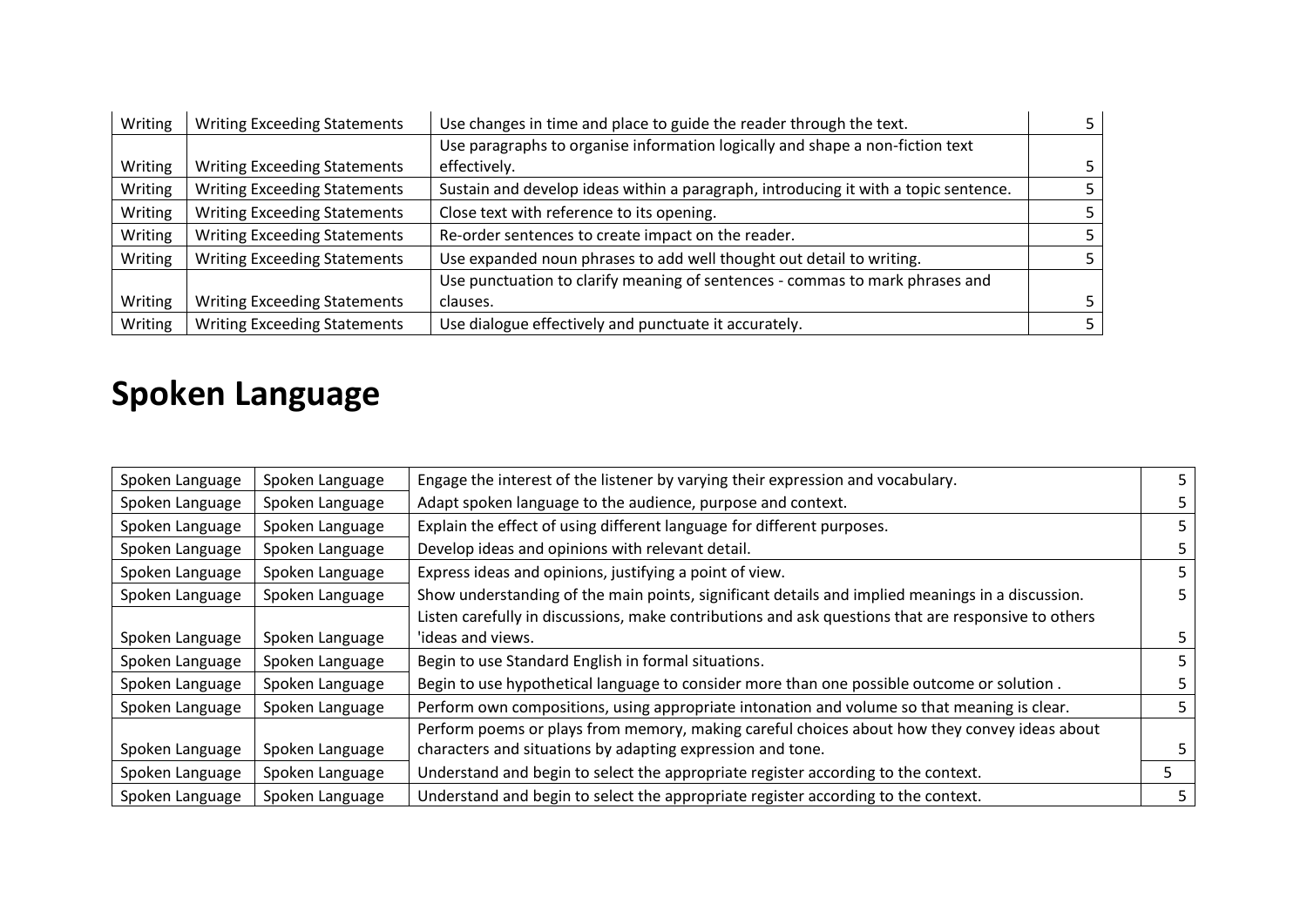| Writing | <b>Writing Exceeding Statements</b> | Use changes in time and place to guide the reader through the text.                 |    |
|---------|-------------------------------------|-------------------------------------------------------------------------------------|----|
|         |                                     | Use paragraphs to organise information logically and shape a non-fiction text       |    |
| Writing | <b>Writing Exceeding Statements</b> | effectively.                                                                        | 5. |
| Writing | <b>Writing Exceeding Statements</b> | Sustain and develop ideas within a paragraph, introducing it with a topic sentence. |    |
| Writing | <b>Writing Exceeding Statements</b> | Close text with reference to its opening.                                           |    |
| Writing | <b>Writing Exceeding Statements</b> | Re-order sentences to create impact on the reader.                                  |    |
| Writing | <b>Writing Exceeding Statements</b> | Use expanded noun phrases to add well thought out detail to writing.                |    |
|         |                                     | Use punctuation to clarify meaning of sentences - commas to mark phrases and        |    |
| Writing | <b>Writing Exceeding Statements</b> | clauses.                                                                            |    |
| Writing | <b>Writing Exceeding Statements</b> | Use dialogue effectively and punctuate it accurately.                               |    |

## **Spoken Language**

| Spoken Language | Spoken Language | Engage the interest of the listener by varying their expression and vocabulary.                     | 5. |
|-----------------|-----------------|-----------------------------------------------------------------------------------------------------|----|
| Spoken Language | Spoken Language | Adapt spoken language to the audience, purpose and context.                                         | 5. |
| Spoken Language | Spoken Language | Explain the effect of using different language for different purposes.                              |    |
| Spoken Language | Spoken Language | Develop ideas and opinions with relevant detail.                                                    |    |
| Spoken Language | Spoken Language | Express ideas and opinions, justifying a point of view.                                             |    |
| Spoken Language | Spoken Language | Show understanding of the main points, significant details and implied meanings in a discussion.    |    |
|                 |                 | Listen carefully in discussions, make contributions and ask questions that are responsive to others |    |
| Spoken Language | Spoken Language | 'ideas and views.                                                                                   | 5. |
| Spoken Language | Spoken Language | Begin to use Standard English in formal situations.                                                 | 5. |
| Spoken Language | Spoken Language | Begin to use hypothetical language to consider more than one possible outcome or solution.          | 5. |
| Spoken Language | Spoken Language | Perform own compositions, using appropriate intonation and volume so that meaning is clear.         | 5. |
|                 |                 | Perform poems or plays from memory, making careful choices about how they convey ideas about        |    |
| Spoken Language | Spoken Language | characters and situations by adapting expression and tone.                                          |    |
| Spoken Language | Spoken Language | Understand and begin to select the appropriate register according to the context.                   |    |
| Spoken Language | Spoken Language | Understand and begin to select the appropriate register according to the context.                   |    |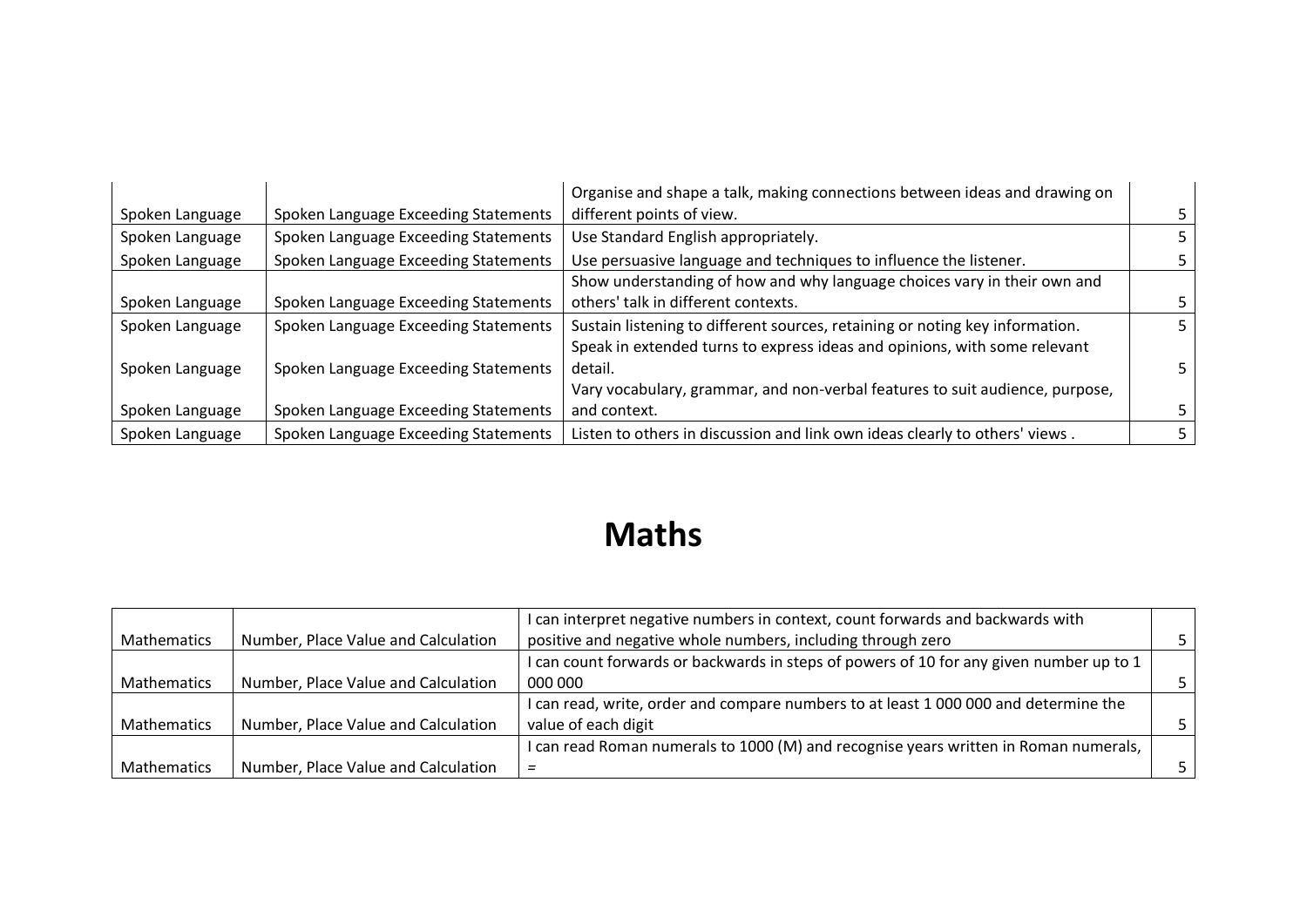|                 |                                      | Organise and shape a talk, making connections between ideas and drawing on   |  |
|-----------------|--------------------------------------|------------------------------------------------------------------------------|--|
| Spoken Language | Spoken Language Exceeding Statements | different points of view.                                                    |  |
| Spoken Language | Spoken Language Exceeding Statements | Use Standard English appropriately.                                          |  |
| Spoken Language | Spoken Language Exceeding Statements | Use persuasive language and techniques to influence the listener.            |  |
|                 |                                      | Show understanding of how and why language choices vary in their own and     |  |
| Spoken Language | Spoken Language Exceeding Statements | others' talk in different contexts.                                          |  |
| Spoken Language | Spoken Language Exceeding Statements | Sustain listening to different sources, retaining or noting key information. |  |
|                 |                                      | Speak in extended turns to express ideas and opinions, with some relevant    |  |
| Spoken Language | Spoken Language Exceeding Statements | detail.                                                                      |  |
|                 |                                      | Vary vocabulary, grammar, and non-verbal features to suit audience, purpose, |  |
| Spoken Language | Spoken Language Exceeding Statements | and context.                                                                 |  |
| Spoken Language | Spoken Language Exceeding Statements | Listen to others in discussion and link own ideas clearly to others' views.  |  |

# **Maths**

|                    |                                     | I can interpret negative numbers in context, count forwards and backwards with          |  |
|--------------------|-------------------------------------|-----------------------------------------------------------------------------------------|--|
| <b>Mathematics</b> | Number, Place Value and Calculation | positive and negative whole numbers, including through zero                             |  |
|                    |                                     | I can count forwards or backwards in steps of powers of 10 for any given number up to 1 |  |
| <b>Mathematics</b> | Number, Place Value and Calculation | 000 000                                                                                 |  |
|                    |                                     | I can read, write, order and compare numbers to at least 1 000 000 and determine the    |  |
| <b>Mathematics</b> | Number, Place Value and Calculation | value of each digit                                                                     |  |
|                    |                                     | I can read Roman numerals to 1000 (M) and recognise years written in Roman numerals,    |  |
| Mathematics        | Number, Place Value and Calculation |                                                                                         |  |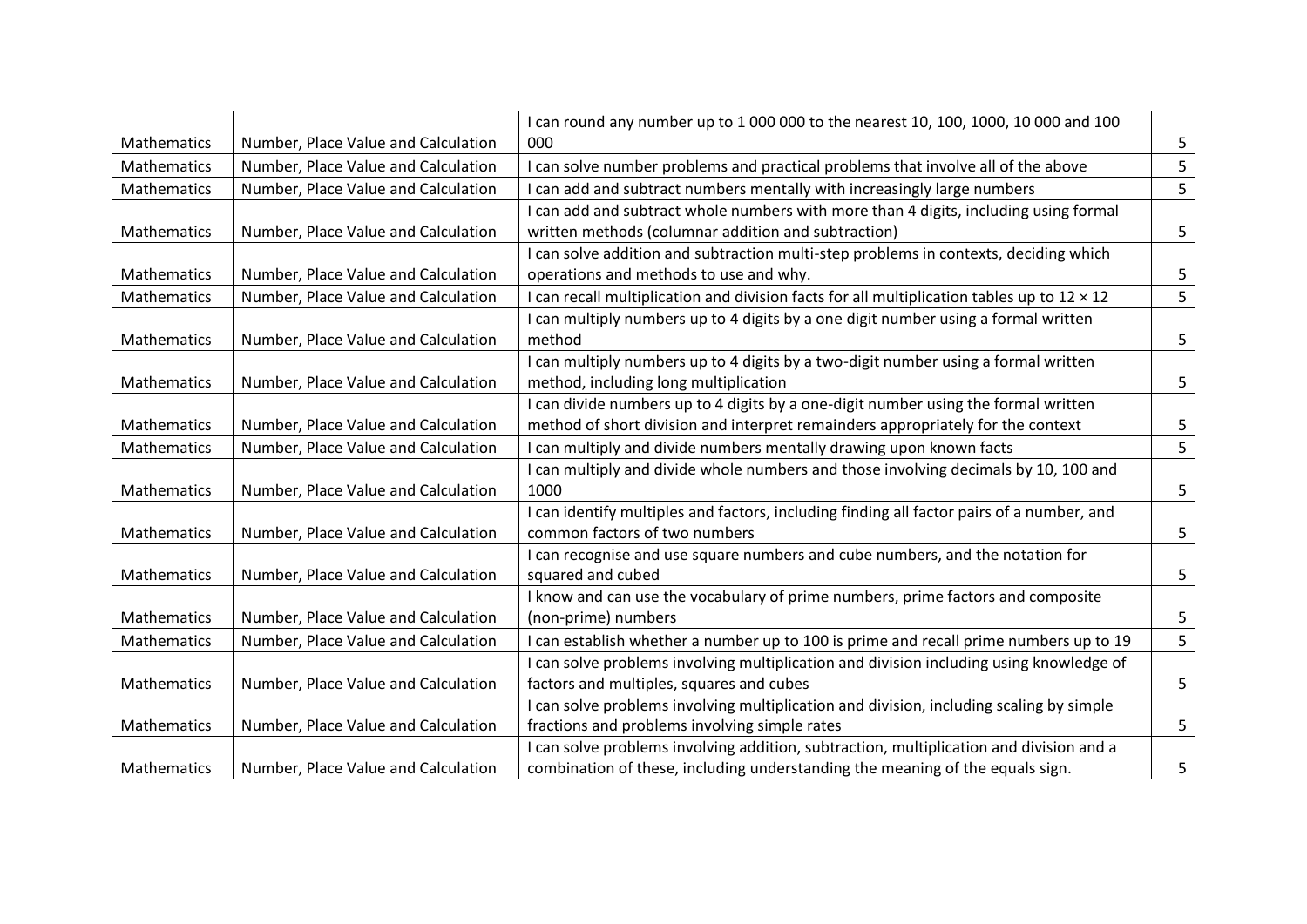|                    |                                     | I can round any number up to 1 000 000 to the nearest 10, 100, 1000, 10 000 and 100               |   |
|--------------------|-------------------------------------|---------------------------------------------------------------------------------------------------|---|
| Mathematics        | Number, Place Value and Calculation | 000                                                                                               | 5 |
| Mathematics        | Number, Place Value and Calculation | I can solve number problems and practical problems that involve all of the above                  | 5 |
| <b>Mathematics</b> | Number, Place Value and Calculation | I can add and subtract numbers mentally with increasingly large numbers                           | 5 |
|                    |                                     | I can add and subtract whole numbers with more than 4 digits, including using formal              |   |
| Mathematics        | Number, Place Value and Calculation | written methods (columnar addition and subtraction)                                               | 5 |
|                    |                                     | I can solve addition and subtraction multi-step problems in contexts, deciding which              |   |
| Mathematics        | Number, Place Value and Calculation | operations and methods to use and why.                                                            | 5 |
| Mathematics        | Number, Place Value and Calculation | I can recall multiplication and division facts for all multiplication tables up to $12 \times 12$ | 5 |
|                    |                                     | I can multiply numbers up to 4 digits by a one digit number using a formal written                |   |
| Mathematics        | Number, Place Value and Calculation | method                                                                                            | 5 |
|                    |                                     | I can multiply numbers up to 4 digits by a two-digit number using a formal written                |   |
| Mathematics        | Number, Place Value and Calculation | method, including long multiplication                                                             | 5 |
|                    |                                     | I can divide numbers up to 4 digits by a one-digit number using the formal written                |   |
| Mathematics        | Number, Place Value and Calculation | method of short division and interpret remainders appropriately for the context                   | 5 |
| <b>Mathematics</b> | Number, Place Value and Calculation | I can multiply and divide numbers mentally drawing upon known facts                               | 5 |
|                    |                                     | I can multiply and divide whole numbers and those involving decimals by 10, 100 and               |   |
| Mathematics        | Number, Place Value and Calculation | 1000                                                                                              | 5 |
|                    |                                     | I can identify multiples and factors, including finding all factor pairs of a number, and         |   |
| Mathematics        | Number, Place Value and Calculation | common factors of two numbers                                                                     | 5 |
|                    |                                     | I can recognise and use square numbers and cube numbers, and the notation for                     |   |
| Mathematics        | Number, Place Value and Calculation | squared and cubed                                                                                 | 5 |
|                    |                                     | I know and can use the vocabulary of prime numbers, prime factors and composite                   |   |
| Mathematics        | Number, Place Value and Calculation | (non-prime) numbers                                                                               | 5 |
| Mathematics        | Number, Place Value and Calculation | I can establish whether a number up to 100 is prime and recall prime numbers up to 19             | 5 |
|                    |                                     | I can solve problems involving multiplication and division including using knowledge of           |   |
| Mathematics        | Number, Place Value and Calculation | factors and multiples, squares and cubes                                                          | 5 |
|                    |                                     | I can solve problems involving multiplication and division, including scaling by simple           |   |
| Mathematics        | Number, Place Value and Calculation | fractions and problems involving simple rates                                                     | 5 |
|                    |                                     | I can solve problems involving addition, subtraction, multiplication and division and a           |   |
| <b>Mathematics</b> | Number, Place Value and Calculation | combination of these, including understanding the meaning of the equals sign.                     | 5 |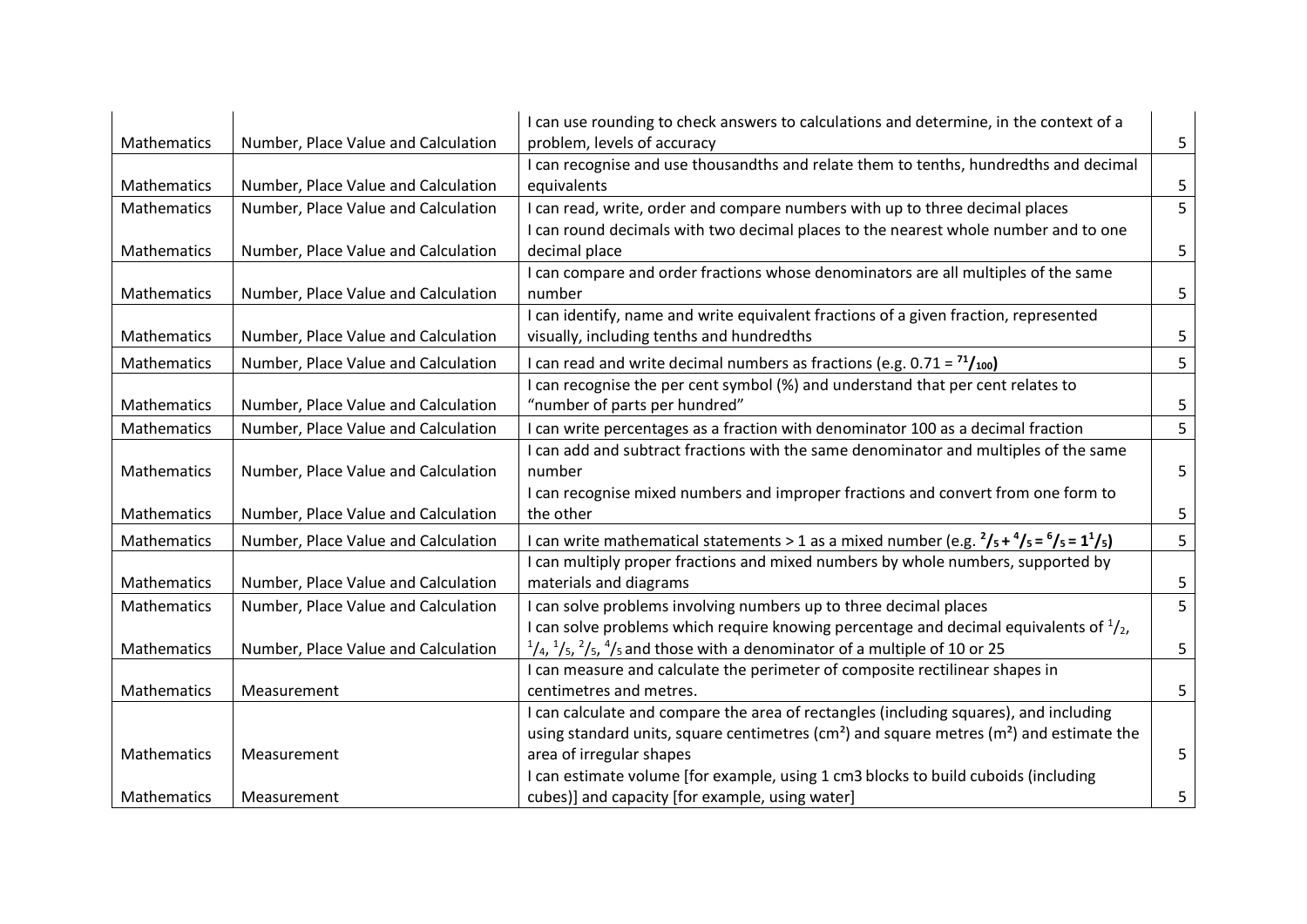|             |                                     | I can use rounding to check answers to calculations and determine, in the context of a                                     |   |
|-------------|-------------------------------------|----------------------------------------------------------------------------------------------------------------------------|---|
| Mathematics | Number, Place Value and Calculation | problem, levels of accuracy                                                                                                | 5 |
|             |                                     | I can recognise and use thousandths and relate them to tenths, hundredths and decimal                                      |   |
| Mathematics | Number, Place Value and Calculation | equivalents                                                                                                                | 5 |
| Mathematics | Number, Place Value and Calculation | I can read, write, order and compare numbers with up to three decimal places                                               | 5 |
| Mathematics | Number, Place Value and Calculation | I can round decimals with two decimal places to the nearest whole number and to one<br>decimal place                       | 5 |
|             |                                     | I can compare and order fractions whose denominators are all multiples of the same                                         |   |
| Mathematics | Number, Place Value and Calculation | number                                                                                                                     | 5 |
|             |                                     | I can identify, name and write equivalent fractions of a given fraction, represented                                       |   |
| Mathematics | Number, Place Value and Calculation | visually, including tenths and hundredths                                                                                  | 5 |
| Mathematics | Number, Place Value and Calculation | I can read and write decimal numbers as fractions (e.g. $0.71 = \frac{71}{100}$ )                                          | 5 |
|             |                                     | I can recognise the per cent symbol (%) and understand that per cent relates to                                            |   |
| Mathematics | Number, Place Value and Calculation | "number of parts per hundred"                                                                                              | 5 |
| Mathematics | Number, Place Value and Calculation | I can write percentages as a fraction with denominator 100 as a decimal fraction                                           | 5 |
|             |                                     | I can add and subtract fractions with the same denominator and multiples of the same                                       |   |
| Mathematics | Number, Place Value and Calculation | number                                                                                                                     | 5 |
|             |                                     | I can recognise mixed numbers and improper fractions and convert from one form to                                          |   |
| Mathematics | Number, Place Value and Calculation | the other                                                                                                                  | 5 |
| Mathematics | Number, Place Value and Calculation | I can write mathematical statements > 1 as a mixed number (e.g. $\frac{2}{5} + \frac{4}{5} = \frac{6}{5} = \frac{11}{5}$ ) | 5 |
|             |                                     | I can multiply proper fractions and mixed numbers by whole numbers, supported by                                           |   |
| Mathematics | Number, Place Value and Calculation | materials and diagrams                                                                                                     | 5 |
| Mathematics | Number, Place Value and Calculation | I can solve problems involving numbers up to three decimal places                                                          | 5 |
|             |                                     | I can solve problems which require knowing percentage and decimal equivalents of $\frac{1}{2}$ ,                           |   |
| Mathematics | Number, Place Value and Calculation | $\frac{1}{4}$ , $\frac{1}{5}$ , $\frac{2}{5}$ , $\frac{4}{5}$ and those with a denominator of a multiple of 10 or 25       | 5 |
|             |                                     | I can measure and calculate the perimeter of composite rectilinear shapes in                                               |   |
| Mathematics | Measurement                         | centimetres and metres.                                                                                                    | 5 |
|             |                                     | I can calculate and compare the area of rectangles (including squares), and including                                      |   |
|             |                                     | using standard units, square centimetres (cm <sup>2</sup> ) and square metres (m <sup>2</sup> ) and estimate the           |   |
| Mathematics | Measurement                         | area of irregular shapes                                                                                                   | 5 |
|             |                                     | I can estimate volume [for example, using 1 cm3 blocks to build cuboids (including                                         |   |
| Mathematics | Measurement                         | cubes)] and capacity [for example, using water]                                                                            | 5 |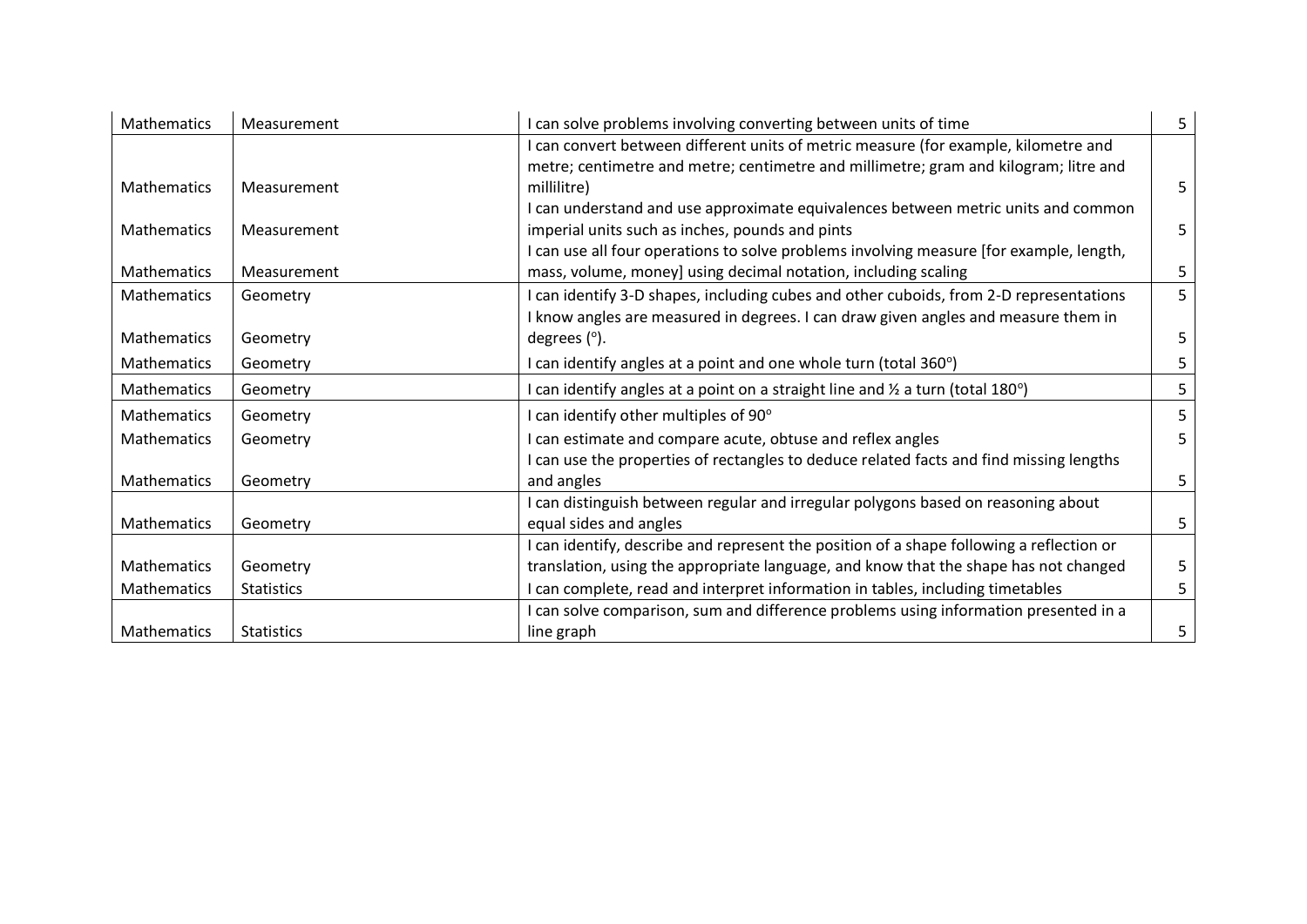| <b>Mathematics</b> | Measurement       | I can solve problems involving converting between units of time                           | 5 |
|--------------------|-------------------|-------------------------------------------------------------------------------------------|---|
|                    |                   | I can convert between different units of metric measure (for example, kilometre and       |   |
|                    |                   | metre; centimetre and metre; centimetre and millimetre; gram and kilogram; litre and      |   |
| Mathematics        | Measurement       | millilitre)                                                                               | 5 |
|                    |                   | I can understand and use approximate equivalences between metric units and common         |   |
| Mathematics        | Measurement       | imperial units such as inches, pounds and pints                                           | 5 |
|                    |                   | I can use all four operations to solve problems involving measure [for example, length,   |   |
| <b>Mathematics</b> | Measurement       | mass, volume, money] using decimal notation, including scaling                            | 5 |
| Mathematics        | Geometry          | I can identify 3-D shapes, including cubes and other cuboids, from 2-D representations    | 5 |
|                    |                   | I know angles are measured in degrees. I can draw given angles and measure them in        |   |
| <b>Mathematics</b> | Geometry          | degrees $(°)$ .                                                                           | 5 |
| Mathematics        | Geometry          | I can identify angles at a point and one whole turn (total 360°)                          | 5 |
| Mathematics        | Geometry          | I can identify angles at a point on a straight line and $\frac{1}{2}$ a turn (total 180°) |   |
| Mathematics        | Geometry          | I can identify other multiples of 90°                                                     |   |
| <b>Mathematics</b> | Geometry          | can estimate and compare acute, obtuse and reflex angles                                  | 5 |
|                    |                   | I can use the properties of rectangles to deduce related facts and find missing lengths   |   |
| <b>Mathematics</b> | Geometry          | and angles                                                                                | 5 |
|                    |                   | I can distinguish between regular and irregular polygons based on reasoning about         |   |
| <b>Mathematics</b> | Geometry          | equal sides and angles                                                                    | 5 |
|                    |                   | I can identify, describe and represent the position of a shape following a reflection or  |   |
| <b>Mathematics</b> | Geometry          | translation, using the appropriate language, and know that the shape has not changed      |   |
| Mathematics        | <b>Statistics</b> | can complete, read and interpret information in tables, including timetables              | 5 |
|                    |                   | can solve comparison, sum and difference problems using information presented in a        |   |
| <b>Mathematics</b> | <b>Statistics</b> | line graph                                                                                | 5 |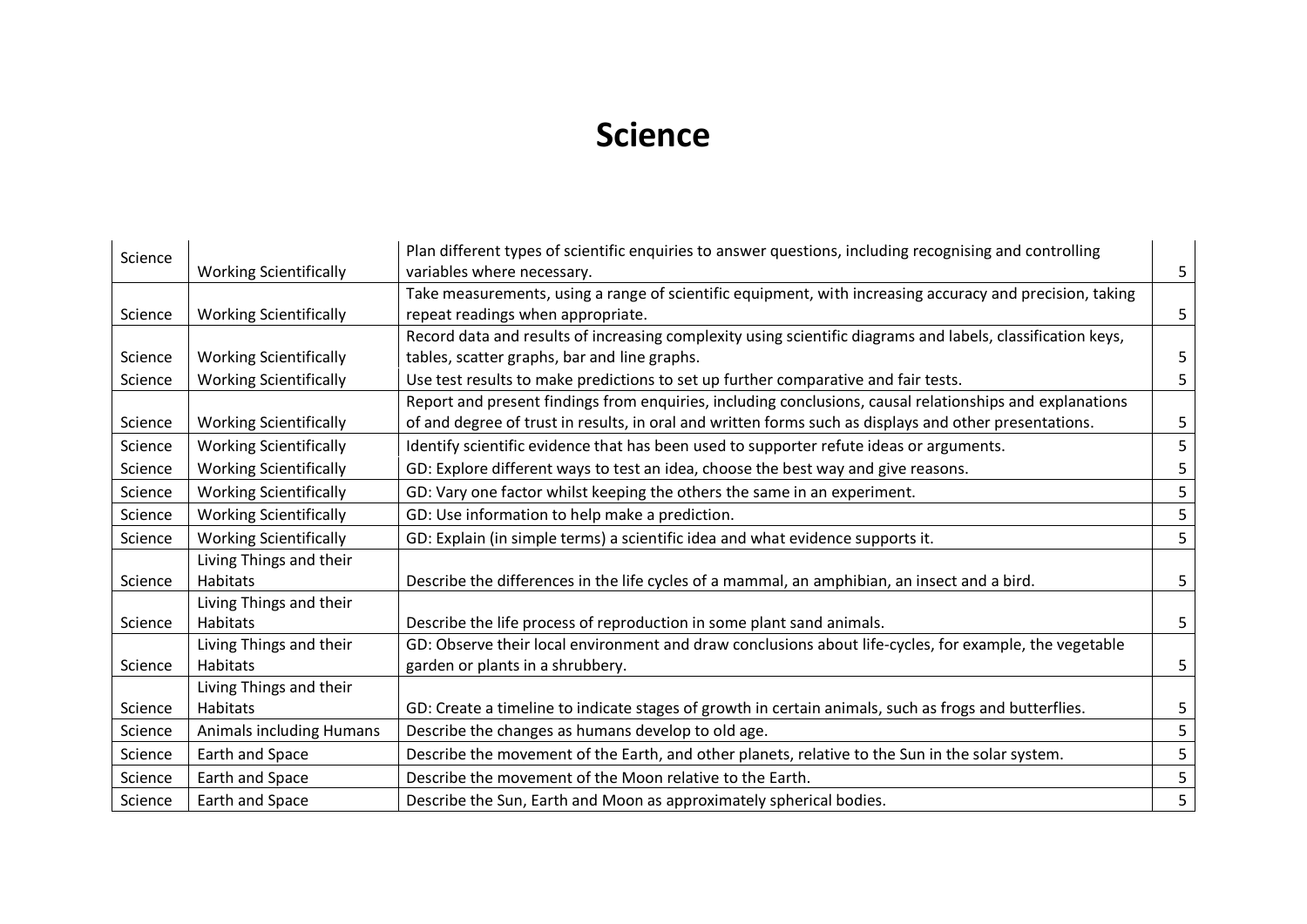#### **Science**

| Science |                                 | Plan different types of scientific enquiries to answer questions, including recognising and controlling     |   |
|---------|---------------------------------|-------------------------------------------------------------------------------------------------------------|---|
|         | <b>Working Scientifically</b>   | variables where necessary.                                                                                  | 5 |
|         |                                 | Take measurements, using a range of scientific equipment, with increasing accuracy and precision, taking    |   |
| Science | <b>Working Scientifically</b>   | repeat readings when appropriate.                                                                           | 5 |
|         |                                 | Record data and results of increasing complexity using scientific diagrams and labels, classification keys, |   |
| Science | <b>Working Scientifically</b>   | tables, scatter graphs, bar and line graphs.                                                                |   |
| Science | <b>Working Scientifically</b>   | Use test results to make predictions to set up further comparative and fair tests.                          | 5 |
|         |                                 | Report and present findings from enquiries, including conclusions, causal relationships and explanations    |   |
| Science | <b>Working Scientifically</b>   | of and degree of trust in results, in oral and written forms such as displays and other presentations.      | 5 |
| Science | <b>Working Scientifically</b>   | Identify scientific evidence that has been used to supporter refute ideas or arguments.                     |   |
| Science | <b>Working Scientifically</b>   | GD: Explore different ways to test an idea, choose the best way and give reasons.                           |   |
| Science | <b>Working Scientifically</b>   | GD: Vary one factor whilst keeping the others the same in an experiment.                                    |   |
| Science | <b>Working Scientifically</b>   | GD: Use information to help make a prediction.                                                              | 5 |
| Science | <b>Working Scientifically</b>   | GD: Explain (in simple terms) a scientific idea and what evidence supports it.                              | 5 |
|         | Living Things and their         |                                                                                                             |   |
| Science | Habitats                        | Describe the differences in the life cycles of a mammal, an amphibian, an insect and a bird.                | 5 |
|         | Living Things and their         |                                                                                                             |   |
| Science | <b>Habitats</b>                 | Describe the life process of reproduction in some plant sand animals.                                       | 5 |
|         | Living Things and their         | GD: Observe their local environment and draw conclusions about life-cycles, for example, the vegetable      |   |
| Science | Habitats                        | garden or plants in a shrubbery.                                                                            | 5 |
|         | Living Things and their         |                                                                                                             |   |
| Science | Habitats                        | GD: Create a timeline to indicate stages of growth in certain animals, such as frogs and butterflies.       | 5 |
| Science | <b>Animals including Humans</b> | Describe the changes as humans develop to old age.                                                          | 5 |
| Science | Earth and Space                 | Describe the movement of the Earth, and other planets, relative to the Sun in the solar system.             | 5 |
| Science | Earth and Space                 | Describe the movement of the Moon relative to the Earth.                                                    |   |
| Science | Earth and Space                 | Describe the Sun, Earth and Moon as approximately spherical bodies.                                         | 5 |